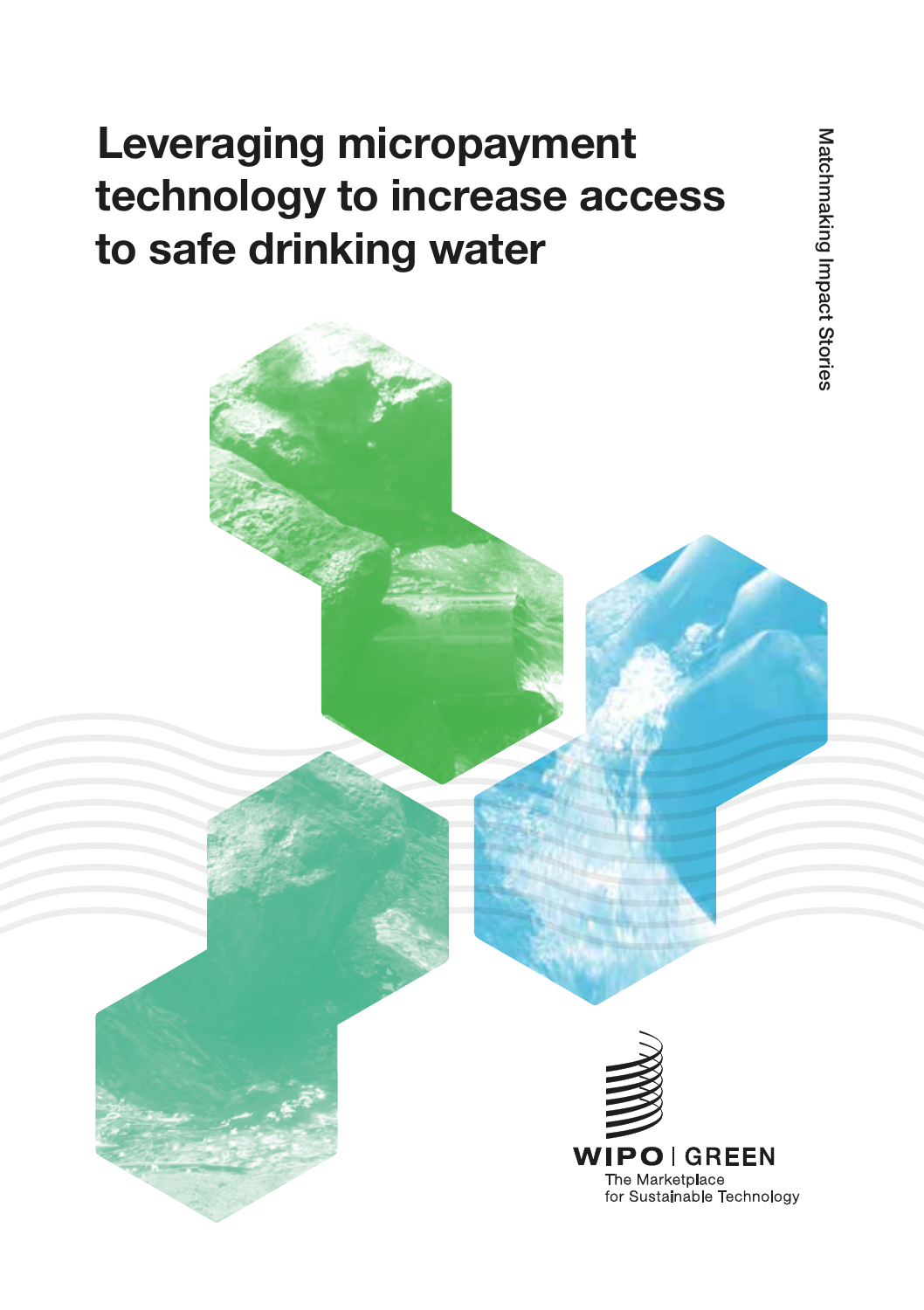# Leveraging micropayment technology to increase access to safe drinking water

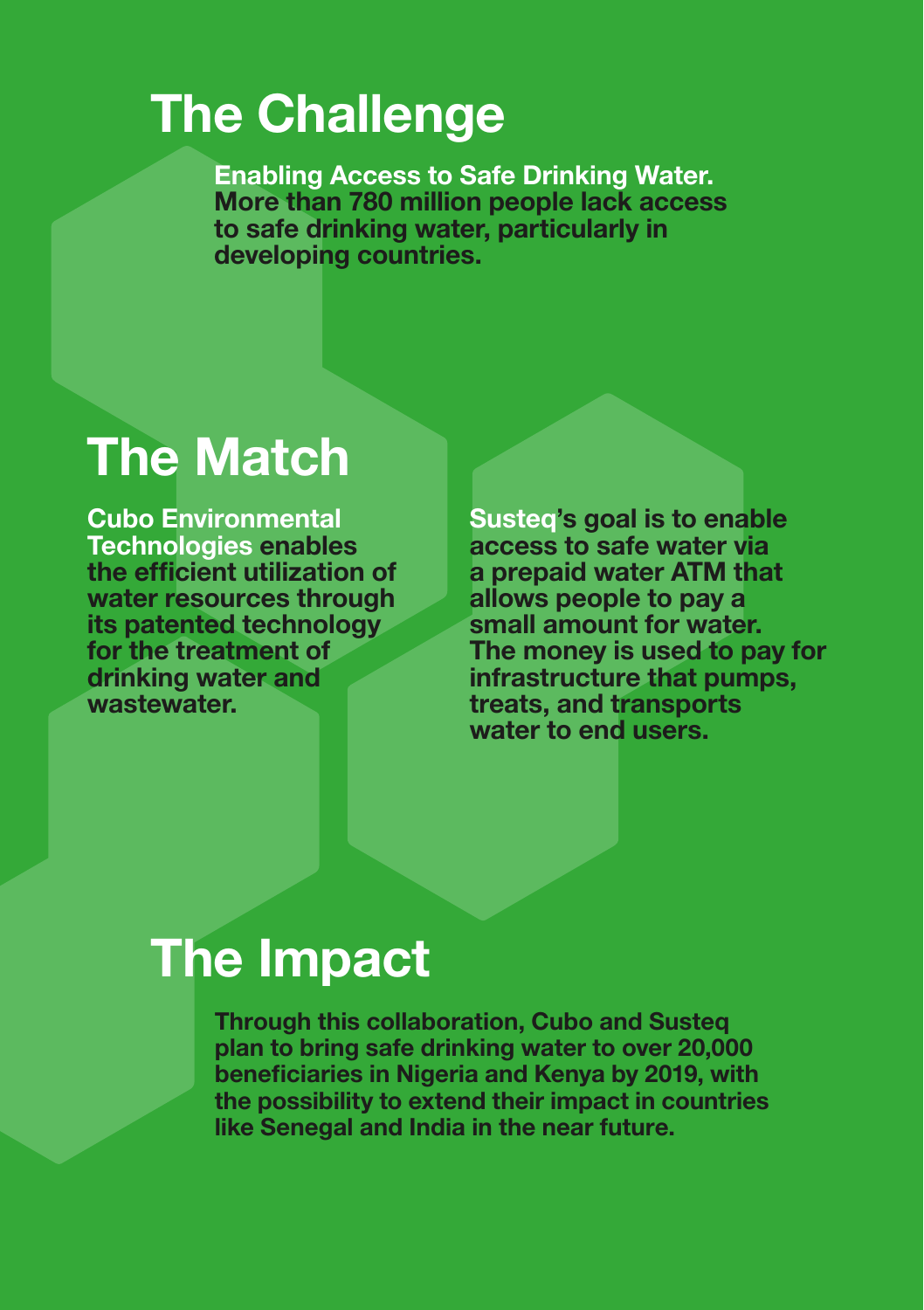# The Challenge

Enabling Access to Safe Drinking Water. More than 780 million people lack access to safe drinking water, particularly in developing countries.

# The Match

Cubo Environmental Technologies enables the efficient utilization of water resources through its patented technology for the treatment of drinking water and wastewater.

Susteq's goal is to enable access to safe water via a prepaid water ATM that allows people to pay a small amount for water. The money is used to pay for infrastructure that pumps, treats, and transports water to end users.

# The Impact

Through this collaboration, Cubo and Susteq plan to bring safe drinking water to over 20,000 beneficiaries in Nigeria and Kenya by 2019, with the possibility to extend their impact in countries like Senegal and India in the near future.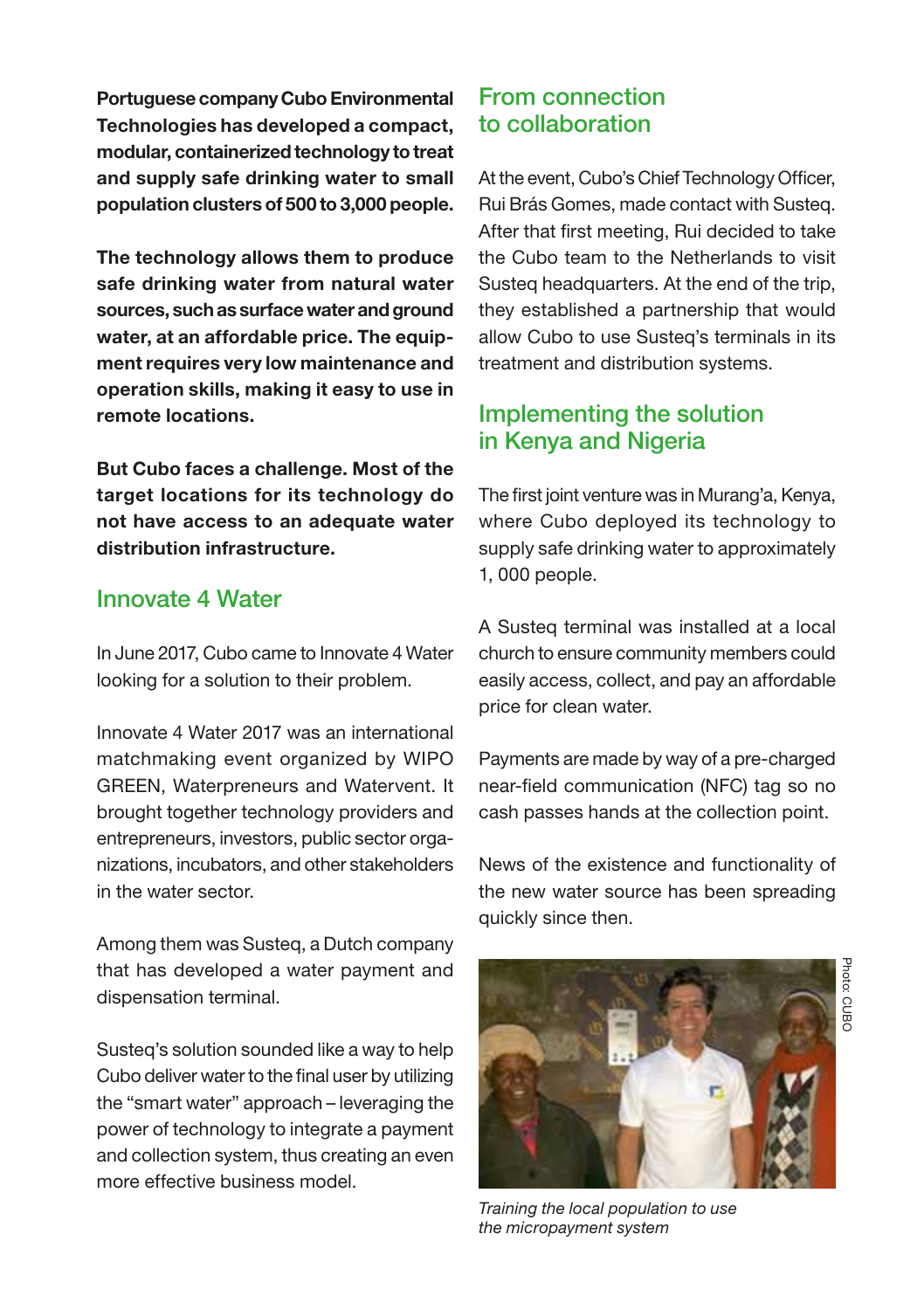Portuguese company Cubo Environmental Technologies has developed a compact, modular, containerized technology to treat and supply safe drinking water to small population clusters of 500 to 3,000 people.

The technology allows them to produce safe drinking water from natural water sources, such as surface water and ground water, at an affordable price. The equipment requires very low maintenance and operation skills, making it easy to use in remote locations.

But Cubo faces a challenge. Most of the target locations for its technology do not have access to an adequate water distribution infrastructure.

#### Innovate 4 Water

In June 2017, Cubo came to Innovate 4 Water looking for a solution to their problem.

Innovate 4 Water 2017 was an international matchmaking event organized by WIPO GREEN, Waterpreneurs and Watervent. It brought together technology providers and entrepreneurs, investors, public sector organizations, incubators, and other stakeholders in the water sector.

Among them was Susteq, a Dutch company that has developed a water payment and dispensation terminal.

Susteq's solution sounded like a way to help Cubo deliver water to the final user by utilizing the "smart water" approach – leveraging the power of technology to integrate a payment and collection system, thus creating an even more effective business model.

### From connection to collaboration

At the event, Cubo's Chief Technology Officer, Rui Brás Gomes, made contact with Susteq. After that first meeting, Rui decided to take the Cubo team to the Netherlands to visit Susteq headquarters. At the end of the trip, they established a partnership that would allow Cubo to use Susteq's terminals in its treatment and distribution systems.

## Implementing the solution in Kenya and Nigeria

The first joint venture was in Murang'a, Kenya, where Cubo deployed its technology to supply safe drinking water to approximately 1, 000 people.

A Susteq terminal was installed at a local church to ensure community members could easily access, collect, and pay an affordable price for clean water.

Payments are made by way of a pre-charged near-field communication (NFC) tag so no cash passes hands at the collection point.

News of the existence and functionality of the new water source has been spreading quickly since then.



*Training the local population to use the micropayment system*